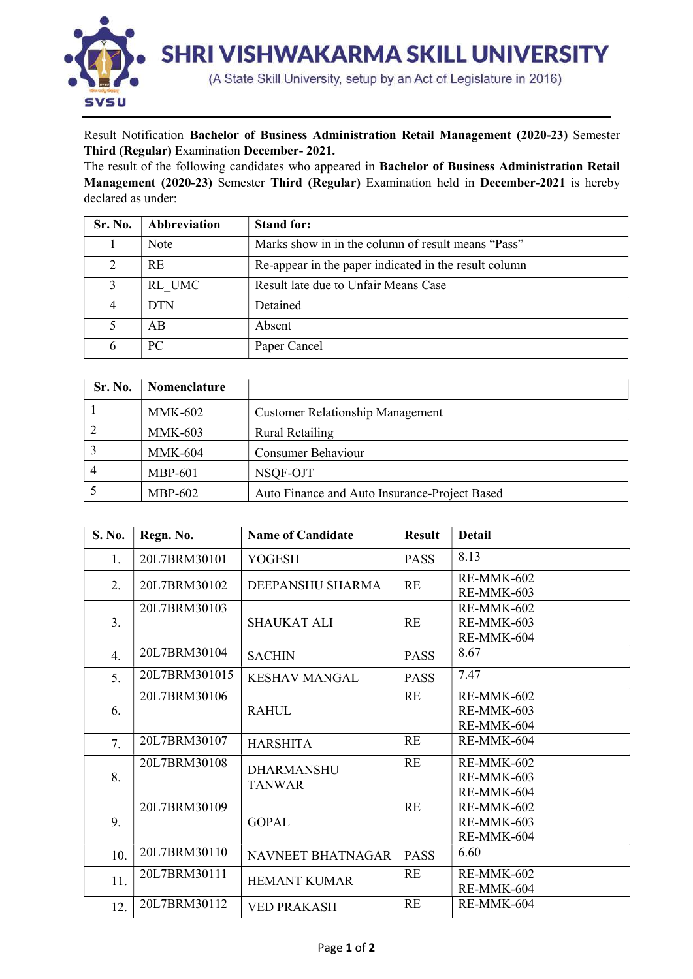

## Result Notification Bachelor of Business Administration Retail Management (2020-23) Semester Third (Regular) Examination December- 2021.

The result of the following candidates who appeared in Bachelor of Business Administration Retail Management (2020-23) Semester Third (Regular) Examination held in December-2021 is hereby declared as under:

| Sr. No.       | Abbreviation | <b>Stand for:</b>                                     |
|---------------|--------------|-------------------------------------------------------|
|               | Note         | Marks show in in the column of result means "Pass"    |
| $\mathcal{D}$ | <b>RE</b>    | Re-appear in the paper indicated in the result column |
| $\mathcal{L}$ | RL UMC       | Result late due to Unfair Means Case                  |
|               | <b>DTN</b>   | Detained                                              |
|               | AB           | Absent                                                |
| 6             | PC.          | Paper Cancel                                          |

| Sr. No. | Nomenclature   |                                               |
|---------|----------------|-----------------------------------------------|
|         | <b>MMK-602</b> | <b>Customer Relationship Management</b>       |
|         | <b>MMK-603</b> | <b>Rural Retailing</b>                        |
|         | <b>MMK-604</b> | <b>Consumer Behaviour</b>                     |
|         | <b>MBP-601</b> | NSQF-OJT                                      |
|         | MBP-602        | Auto Finance and Auto Insurance-Project Based |

| S. No. | Regn. No.     | <b>Name of Candidate</b>           | <b>Result</b> | <b>Detail</b>                          |
|--------|---------------|------------------------------------|---------------|----------------------------------------|
| 1.     | 20L7BRM30101  | YOGESH                             | <b>PASS</b>   | 8.13                                   |
| 2.     | 20L7BRM30102  | DEEPANSHU SHARMA                   | <b>RE</b>     | RE-MMK-602<br>RE-MMK-603               |
| 3.     | 20L7BRM30103  | <b>SHAUKAT ALI</b>                 | RE            | RE-MMK-602<br>RE-MMK-603<br>RE-MMK-604 |
| 4.     | 20L7BRM30104  | <b>SACHIN</b>                      | <b>PASS</b>   | 8.67                                   |
| 5.     | 20L7BRM301015 | <b>KESHAV MANGAL</b>               | <b>PASS</b>   | 7.47                                   |
| 6.     | 20L7BRM30106  | <b>RAHUL</b>                       | <b>RE</b>     | RE-MMK-602<br>RE-MMK-603<br>RE-MMK-604 |
| 7.     | 20L7BRM30107  | <b>HARSHITA</b>                    | <b>RE</b>     | RE-MMK-604                             |
| 8.     | 20L7BRM30108  | <b>DHARMANSHU</b><br><b>TANWAR</b> | RE            | RE-MMK-602<br>RE-MMK-603<br>RE-MMK-604 |
| 9.     | 20L7BRM30109  | <b>GOPAL</b>                       | <b>RE</b>     | RE-MMK-602<br>RE-MMK-603<br>RE-MMK-604 |
| 10.    | 20L7BRM30110  | NAVNEET BHATNAGAR                  | <b>PASS</b>   | 6.60                                   |
| 11.    | 20L7BRM30111  | <b>HEMANT KUMAR</b>                | RE            | RE-MMK-602<br>RE-MMK-604               |
| 12.    | 20L7BRM30112  | <b>VED PRAKASH</b>                 | RE            | RE-MMK-604                             |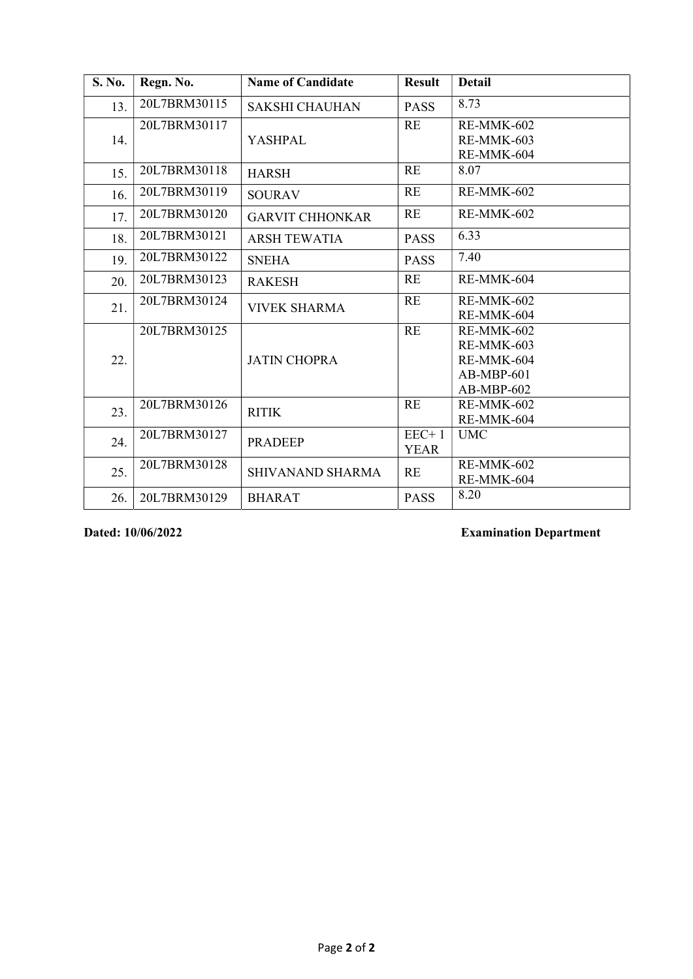| S. No. | Regn. No.    | <b>Name of Candidate</b> | <b>Result</b>          | <b>Detail</b>                                                        |
|--------|--------------|--------------------------|------------------------|----------------------------------------------------------------------|
| 13.    | 20L7BRM30115 | <b>SAKSHI CHAUHAN</b>    | <b>PASS</b>            | 8.73                                                                 |
| 14.    | 20L7BRM30117 | <b>YASHPAL</b>           | <b>RE</b>              | RE-MMK-602<br>RE-MMK-603<br>RE-MMK-604                               |
| 15.    | 20L7BRM30118 | <b>HARSH</b>             | <b>RE</b>              | 8.07                                                                 |
| 16.    | 20L7BRM30119 | <b>SOURAV</b>            | RE                     | RE-MMK-602                                                           |
| 17.    | 20L7BRM30120 | <b>GARVIT CHHONKAR</b>   | RE                     | RE-MMK-602                                                           |
| 18.    | 20L7BRM30121 | <b>ARSH TEWATIA</b>      | <b>PASS</b>            | 6.33                                                                 |
| 19.    | 20L7BRM30122 | <b>SNEHA</b>             | <b>PASS</b>            | 7.40                                                                 |
| 20.    | 20L7BRM30123 | <b>RAKESH</b>            | RE                     | RE-MMK-604                                                           |
| 21.    | 20L7BRM30124 | <b>VIVEK SHARMA</b>      | <b>RE</b>              | RE-MMK-602<br>RE-MMK-604                                             |
| 22.    | 20L7BRM30125 | <b>JATIN CHOPRA</b>      | RE                     | RE-MMK-602<br>RE-MMK-603<br>RE-MMK-604<br>$AB-MBP-601$<br>AB-MBP-602 |
| 23.    | 20L7BRM30126 | <b>RITIK</b>             | RE                     | RE-MMK-602<br>RE-MMK-604                                             |
| 24.    | 20L7BRM30127 | <b>PRADEEP</b>           | $EEC+1$<br><b>YEAR</b> | <b>UMC</b>                                                           |
| 25.    | 20L7BRM30128 | SHIVANAND SHARMA         | RE                     | RE-MMK-602<br>RE-MMK-604                                             |
| 26.    | 20L7BRM30129 | <b>BHARAT</b>            | <b>PASS</b>            | 8.20                                                                 |

Dated: 10/06/2022 Examination Department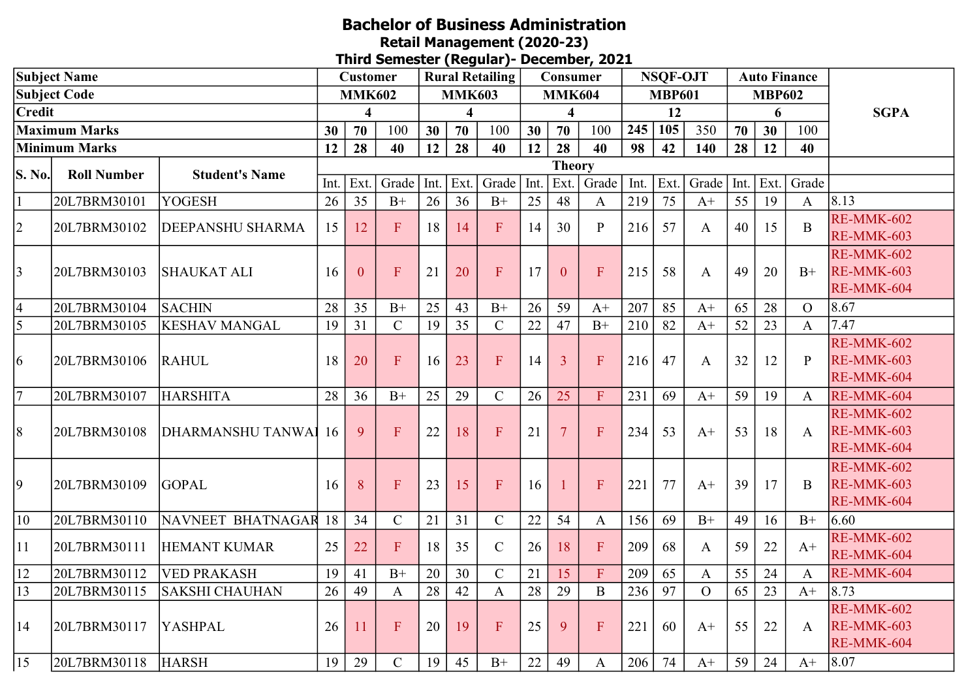## Bachelor of Business Administration Retail Management (2020-23)

Third Semester (Regular)- December, 2021

| <b>Subject Name</b>  |                      |                             | Customer      |               |                | <b>Rural Retailing</b> |                 |                |      | Consumer                |                |      | <b>NSOF-OJT</b> |                | <b>Auto Finance</b> |      |                |                   |
|----------------------|----------------------|-----------------------------|---------------|---------------|----------------|------------------------|-----------------|----------------|------|-------------------------|----------------|------|-----------------|----------------|---------------------|------|----------------|-------------------|
| <b>Subject Code</b>  |                      |                             | <b>MMK602</b> |               |                | <b>MMK603</b>          |                 |                |      | <b>MMK604</b>           |                |      | <b>MBP601</b>   |                | <b>MBP602</b>       |      |                |                   |
| <b>Credit</b>        |                      |                             | 4             |               |                |                        | 4               |                |      | $\overline{\mathbf{4}}$ |                |      | 12              |                |                     | 6    |                | <b>SGPA</b>       |
| <b>Maximum Marks</b> |                      |                             | 30            | 70            | 100            | 30                     | 70              | 100            | 30   | 70                      | 100            | 245  | 105             | 350            | 70                  | 30   | 100            |                   |
|                      | <b>Minimum Marks</b> |                             | 12            | 28            | 40             | 12                     | 28              | 40             | 12   | 28                      | 40             | 98   | 42              | 140            | 28                  | 12   | 40             |                   |
| <b>S. No.</b>        | <b>Roll Number</b>   | <b>Student's Name</b>       |               | <b>Theory</b> |                |                        |                 |                |      |                         |                |      |                 |                |                     |      |                |                   |
|                      |                      |                             | Int.          | Ext.          | Grade          | Int.                   | Ext.            | Grade          | Int. | Ext.                    | Grade          | Int. | Ext.            | Grade          | Int.                | Ext. | Grade          |                   |
|                      | 20L7BRM30101         | <b>YOGESH</b>               | 26            | 35            | $B+$           | 26                     | 36              | $B+$           | 25   | 48                      | $\mathbf{A}$   | 219  | 75              | $A+$           | 55                  | 19   | $\mathbf{A}$   | 8.13              |
| $ 2\rangle$          | 20L7BRM30102         | DEEPANSHU SHARMA            | 15            | 12            | $\mathbf F$    | 18                     | 14              | F              | 14   | 30                      | $\mathbf{P}$   | 216  | 57              | $\mathbf{A}$   | 40                  | 15   | B              | RE-MMK-602        |
|                      |                      |                             |               |               |                |                        |                 |                |      |                         |                |      |                 |                |                     |      |                | RE-MMK-603        |
|                      |                      |                             |               |               |                |                        |                 |                |      |                         |                |      |                 |                |                     |      |                | RE-MMK-602        |
| 3                    | 20L7BRM30103         | <b>SHAUKAT ALI</b>          | 16            | $\theta$      | $\overline{F}$ | 21                     | 20              | ${\bf F}$      | 17   | $\theta$                | F              | 215  | 58              | A              | 49                  | 20   | $B+$           | RE-MMK-603        |
|                      |                      |                             |               |               |                |                        |                 |                |      |                         |                |      |                 |                |                     |      |                | RE-MMK-604        |
| $\overline{4}$       | 20L7BRM30104         | <b>SACHIN</b>               | 28            | 35            | $B+$           | 25                     | 43              | $B+$           | 26   | 59                      | $A+$           | 207  | 85              | $A+$           | 65                  | 28   | $\overline{O}$ | 8.67              |
| 5                    | 20L7BRM30105         | <b>KESHAV MANGAL</b>        | 19            | 31            | $\mathbf C$    | 19                     | $\overline{35}$ | $\mathcal{C}$  | 22   | 47                      | $B+$           | 210  | 82              | $A+$           | 52                  | 23   | $\mathbf{A}$   | 7.47              |
|                      |                      |                             |               |               |                |                        |                 |                |      |                         |                |      |                 |                |                     |      |                | RE-MMK-602        |
| 6                    | 20L7BRM30106         | RAHUL                       | 18            | 20            | $\mathbf F$    | 16                     | 23              | ${\bf F}$      | 14   | $\overline{3}$          | ${\bf F}$      | 216  | 47              | A              | 32                  | 12   | $\mathbf{P}$   | RE-MMK-603        |
|                      |                      |                             |               |               |                |                        |                 |                |      |                         |                |      |                 |                |                     |      |                | RE-MMK-604        |
| $\overline{7}$       | 20L7BRM30107         | <b>HARSHITA</b>             | 28            | 36            | $B+$           | 25                     | 29              | $\mathbf C$    | 26   | 25                      | $\overline{F}$ | 231  | 69              | $A+$           | 59                  | 19   | $\mathbf{A}$   | RE-MMK-604        |
|                      |                      |                             |               |               |                |                        |                 |                |      |                         |                |      |                 |                |                     |      |                | RE-MMK-602        |
| $\vert 8$            | 20L7BRM30108         | <b>DHARMANSHU TANWAI 16</b> |               | 9             | $\overline{F}$ | 22                     | 18              | $\overline{F}$ | 21   | $\overline{7}$          | F              | 234  | 53              | $A+$           | 53                  | 18   | $\mathsf{A}$   | <b>RE-MMK-603</b> |
|                      |                      |                             |               |               |                |                        |                 |                |      |                         |                |      |                 |                |                     |      |                | RE-MMK-604        |
|                      |                      |                             |               |               |                |                        |                 |                |      |                         |                |      |                 |                |                     |      |                | RE-MMK-602        |
| $\overline{9}$       | 20L7BRM30109         | <b>GOPAL</b>                | 16            | 8             | F              | 23                     | 15              | $\mathbf{F}$   | 16   |                         | $\overline{F}$ | 221  | 77              | $A+$           | 39                  | 17   | B              | RE-MMK-603        |
|                      |                      |                             |               |               |                |                        |                 |                |      |                         |                |      |                 |                |                     |      |                | RE-MMK-604        |
| 10                   | 20L7BRM30110         | NAVNEET BHATNAGAR           | 18            | 34            | $\mathcal{C}$  | 21                     | 31              | $\mathsf{C}$   | 22   | 54                      | $\mathbf{A}$   | 156  | 69              | $B+$           | 49                  | 16   | $B+$           | 6.60              |
| 11                   | 20L7BRM30111         | <b>HEMANT KUMAR</b>         | 25            | 22            | $\mathbf{F}$   | 18                     | 35              | $\mathcal{C}$  | 26   | 18                      | F              | 209  | 68              | A              | 59                  | 22   | $A+$           | <b>RE-MMK-602</b> |
|                      |                      |                             |               |               |                |                        |                 |                |      |                         |                |      |                 |                |                     |      |                | RE-MMK-604        |
| 12                   | 20L7BRM30112         | <b>VED PRAKASH</b>          | 19            | 41            | $B+$           | 20                     | 30              | $\mathcal{C}$  | 21   | 15                      | ${\bf F}$      | 209  | 65              | A              | 55                  | 24   | $\mathbf{A}$   | RE-MMK-604        |
| 13                   | 20L7BRM30115         | <b>SAKSHI CHAUHAN</b>       | 26            | 49            | $\mathbf{A}$   | 28                     | 42              | $\mathbf{A}$   | 28   | 29                      | $\, {\bf B}$   | 236  | 97              | $\overline{O}$ | 65                  | 23   | $A+$           | 8.73              |
|                      |                      |                             |               |               |                |                        |                 |                |      |                         |                |      |                 |                |                     |      |                | RE-MMK-602        |
| 14                   | 20L7BRM30117         | <b>YASHPAL</b>              | 26            | 11            | $\mathbf{F}$   | 20                     | 19              | ${\bf F}$      | 25   | 9                       | F              | 221  | 60              | $A+$           | 55                  | 22   | A              | RE-MMK-603        |
|                      |                      |                             |               |               |                |                        |                 |                |      |                         |                |      |                 |                |                     |      |                | RE-MMK-604        |
| 15                   | 20L7BRM30118         | <b>HARSH</b>                | 19            | 29            | $\mathsf{C}$   | 19                     | 45              | $B+$           | 22   | 49                      | $\mathbf{A}$   | 206  | 74              | $A+$           | 59                  | 24   | $A+$           | 8.07              |